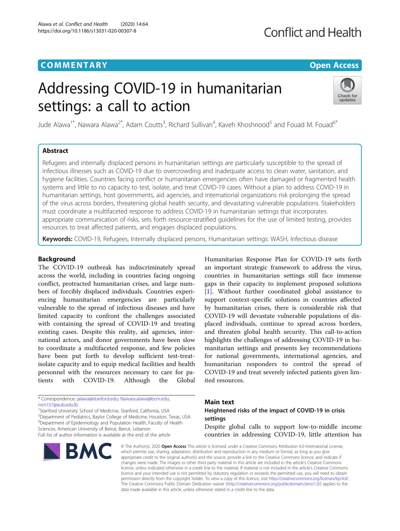### **COMMENTARY COMMENTARY COMMENTARY**

## **Conflict and Health**

## Addressing COVID-19 in humanitarian settings: a call to action



Jude Alawa<sup>1\*</sup>, Nawara Alawa<sup>2\*</sup>, Adam Coutts<sup>3</sup>, Richard Sullivan<sup>4</sup>, Kaveh Khoshnood<sup>5</sup> and Fouad M. Fouad<sup>6\*</sup>

#### Abstract

Refugees and internally displaced persons in humanitarian settings are particularly susceptible to the spread of infectious illnesses such as COVID-19 due to overcrowding and inadequate access to clean water, sanitation, and hygiene facilities. Countries facing conflict or humanitarian emergencies often have damaged or fragmented health systems and little to no capacity to test, isolate, and treat COVID-19 cases. Without a plan to address COVID-19 in humanitarian settings, host governments, aid agencies, and international organizations risk prolonging the spread of the virus across borders, threatening global health security, and devastating vulnerable populations. Stakeholders must coordinate a multifaceted response to address COVID-19 in humanitarian settings that incorporates appropriate communication of risks, sets forth resource-stratified guidelines for the use of limited testing, provides resources to treat affected patients, and engages displaced populations.

Keywords: COVID-19, Refugees, Internally displaced persons, Humanitarian settings: WASH, Infectious disease

#### Background

The COVID-19 outbreak has indiscriminately spread across the world, including in countries facing ongoing conflict, protracted humanitarian crises, and large numbers of forcibly displaced individuals. Countries experiencing humanitarian emergencies are particularly vulnerable to the spread of infectious diseases and have limited capacity to confront the challenges associated with containing the spread of COVID-19 and treating existing cases. Despite this reality, aid agencies, international actors, and donor governments have been slow to coordinate a multifaceted response, and few policies have been put forth to develop sufficient test-treatisolate capacity and to equip medical facilities and health personnel with the resources necessary to care for patients with COVID-19. Although the Global

\* Correspondence: [jalawa@stanford.edu;](mailto:jalawa@stanford.edu) [Nawara.alawa@bcm.edu;](mailto:Nawara.alawa@bcm.edu) [mm157@aub.edu.lb](mailto:mm157@aub.edu.lb)

<sup>1</sup>Stanford University School of Medicine, Stanford, California, USA

2 Department of Pediatrics, Baylor College of Medicine, Houston, Texas, USA 6 Department of Epidemiology and Population Health, Faculty of Health Sciences, American University of Beirut, Beirut, Lebanon

Full list of author information is available at the end of the article

# **BMC**

Humanitarian Response Plan for COVID-19 sets forth an important strategic framework to address the virus, countries in humanitarian settings still face immense gaps in their capacity to implement proposed solutions [[1\]](#page-3-0). Without further coordinated global assistance to support context-specific solutions in countries affected by humanitarian crises, there is considerable risk that COVID-19 will devastate vulnerable populations of displaced individuals, continue to spread across borders, and threaten global health security. This call-to-action highlights the challenges of addressing COVID-19 in humanitarian settings and presents key recommendations for national governments, international agencies, and humanitarian responders to control the spread of COVID-19 and treat severely infected patients given limited resources.

#### Main text

#### Heightened risks of the impact of COVID-19 in crisis settings

Despite global calls to support low-to-middle income countries in addressing COVID-19, little attention has

© The Author(s), 2020 **Open Access** This article is licensed under a Creative Commons Attribution 4.0 International License, which permits use, sharing, adaptation, distribution and reproduction in any medium or format, as long as you give appropriate credit to the original author(s) and the source, provide a link to the Creative Commons licence, and indicate if changes were made. The images or other third party material in this article are included in the article's Creative Commons licence, unless indicated otherwise in a credit line to the material. If material is not included in the article's Creative Commons licence and your intended use is not permitted by statutory regulation or exceeds the permitted use, you will need to obtain permission directly from the copyright holder. To view a copy of this licence, visit [http://creativecommons.org/licenses/by/4.0/.](http://creativecommons.org/licenses/by/4.0/) The Creative Commons Public Domain Dedication waiver [\(http://creativecommons.org/publicdomain/zero/1.0/](http://creativecommons.org/publicdomain/zero/1.0/)) applies to the data made available in this article, unless otherwise stated in a credit line to the data.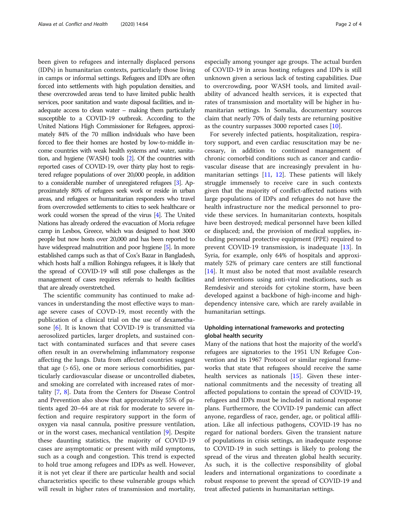been given to refugees and internally displaced persons (IDPs) in humanitarian contexts, particularly those living in camps or informal settings. Refugees and IDPs are often forced into settlements with high population densities, and these overcrowded areas tend to have limited public health services, poor sanitation and waste disposal facilities, and inadequate access to clean water – making them particularly susceptible to a COVID-19 outbreak. According to the United Nations High Commissioner for Refugees, approximately 84% of the 70 million individuals who have been forced to flee their homes are hosted by low-to-middle income countries with weak health systems and water, sanitation, and hygiene (WASH) tools [[2](#page-3-0)]. Of the countries with reported cases of COVID-19, over thirty play host to registered refugee populations of over 20,000 people, in addition to a considerable number of unregistered refugees [\[3\]](#page-3-0). Approximately 80% of refugees seek work or reside in urban areas, and refugees or humanitarian responders who travel from overcrowded settlements to cities to seek healthcare or work could worsen the spread of the virus [\[4\]](#page-3-0). The United Nations has already ordered the evacuation of Moria refugee camp in Lesbos, Greece, which was designed to host 3000 people but now hosts over 20,000 and has been reported to have widespread malnutrition and poor hygiene [\[5](#page-3-0)]. In more established camps such as that of Cox's Bazar in Bangladesh, which hosts half a million Rohingya refugees, it is likely that the spread of COVID-19 will still pose challenges as the management of cases requires referrals to health facilities that are already overstretched.

The scientific community has continued to make advances in understanding the most effective ways to manage severe cases of COVD-19, most recently with the publication of a clinical trial on the use of dexamethasone [\[6](#page-3-0)]. It is known that COVID-19 is transmitted via aerosolized particles, larger droplets, and sustained contact with contaminated surfaces and that severe cases often result in an overwhelming inflammatory response affecting the lungs. Data from affected countries suggest that age (> 65), one or more serious comorbidities, particularly cardiovascular disease or uncontrolled diabetes, and smoking are correlated with increased rates of mortality [\[7](#page-3-0), [8](#page-3-0)]. Data from the Centers for Disease Control and Prevention also show that approximately 55% of patients aged 20–64 are at risk for moderate to severe infection and require respiratory support in the form of oxygen via nasal cannula, positive pressure ventilation, or in the worst cases, mechanical ventilation [[9](#page-3-0)]. Despite these daunting statistics, the majority of COVID-19 cases are asymptomatic or present with mild symptoms, such as a cough and congestion. This trend is expected to hold true among refugees and IDPs as well. However, it is not yet clear if there are particular health and social characteristics specific to these vulnerable groups which will result in higher rates of transmission and mortality, especially among younger age groups. The actual burden of COVID-19 in areas hosting refugees and IDPs is still unknown given a serious lack of testing capabilities. Due to overcrowding, poor WASH tools, and limited availability of advanced health services, it is expected that rates of transmission and mortality will be higher in humanitarian settings. In Somalia, documentary sources claim that nearly 70% of daily tests are returning positive as the country surpasses 3000 reported cases  $[10]$  $[10]$ .

For severely infected patients, hospitalization, respiratory support, and even cardiac resuscitation may be necessary, in addition to continued management of chronic comorbid conditions such as cancer and cardiovascular disease that are increasingly prevalent in humanitarian settings [\[11](#page-3-0), [12](#page-3-0)]. These patients will likely struggle immensely to receive care in such contexts given that the majority of conflict-affected nations with large populations of IDPs and refugees do not have the health infrastructure nor the medical personnel to provide these services. In humanitarian contexts, hospitals have been destroyed; medical personnel have been killed or displaced; and, the provision of medical supplies, including personal protective equipment (PPE) required to prevent COVID-19 transmission, is inadequate [\[13](#page-3-0)]. In Syria, for example, only 64% of hospitals and approximately 52% of primary care centers are still functional [[14\]](#page-3-0). It must also be noted that most available research and interventions using anti-viral medications, such as Remdesivir and steroids for cytokine storm, have been developed against a backbone of high-income and highdependency intensive care, which are rarely available in humanitarian settings.

#### Upholding international frameworks and protecting global health security

Many of the nations that host the majority of the world's refugees are signatories to the 1951 UN Refugee Convention and its 1967 Protocol or similar regional frameworks that state that refugees should receive the same health services as nationals [[15\]](#page-3-0). Given these international commitments and the necessity of treating all affected populations to contain the spread of COVID-19, refugees and IDPs must be included in national response plans. Furthermore, the COVID-19 pandemic can affect anyone, regardless of race, gender, age, or political affiliation. Like all infectious pathogens, COVID-19 has no regard for national borders. Given the transient nature of populations in crisis settings, an inadequate response to COVID-19 in such settings is likely to prolong the spread of the virus and threaten global health security. As such, it is the collective responsibility of global leaders and international organizations to coordinate a robust response to prevent the spread of COVID-19 and treat affected patients in humanitarian settings.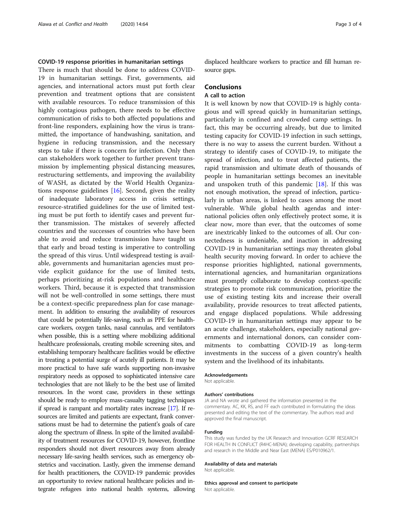#### COVID-19 response priorities in humanitarian settings

There is much that should be done to address COVID-19 in humanitarian settings. First, governments, aid agencies, and international actors must put forth clear prevention and treatment options that are consistent with available resources. To reduce transmission of this highly contagious pathogen, there needs to be effective communication of risks to both affected populations and front-line responders, explaining how the virus is transmitted, the importance of handwashing, sanitation, and hygiene in reducing transmission, and the necessary steps to take if there is concern for infection. Only then can stakeholders work together to further prevent transmission by implementing physical distancing measures, restructuring settlements, and improving the availability of WASH, as dictated by the World Health Organizations response guidelines  $[16]$  $[16]$ . Second, given the reality of inadequate laboratory access in crisis settings, resource-stratified guidelines for the use of limited testing must be put forth to identify cases and prevent further transmission. The mistakes of severely affected countries and the successes of countries who have been able to avoid and reduce transmission have taught us that early and broad testing is imperative to controlling the spread of this virus. Until widespread testing is available, governments and humanitarian agencies must provide explicit guidance for the use of limited tests, perhaps prioritizing at-risk populations and healthcare workers. Third, because it is expected that transmission will not be well-controlled in some settings, there must be a context-specific preparedness plan for case management. In addition to ensuring the availability of resources that could be potentially life-saving, such as PPE for healthcare workers, oxygen tanks, nasal cannulas, and ventilators when possible, this is a setting where mobilizing additional healthcare professionals, creating mobile screening sites, and establishing temporary healthcare facilities would be effective in treating a potential surge of acutely ill patients. It may be more practical to have safe wards supporting non-invasive respiratory needs as opposed to sophisticated intensive care technologies that are not likely to be the best use of limited resources. In the worst case, providers in these settings should be ready to employ mass-casualty tagging techniques if spread is rampant and mortality rates increase [\[17](#page-3-0)]. If resources are limited and patients are expectant, frank conversations must be had to determine the patient's goals of care along the spectrum of illness. In spite of the limited availability of treatment resources for COVID-19, however, frontline responders should not divert resources away from already necessary life-saving health services, such as emergency obstetrics and vaccination. Lastly, given the immense demand for health practitioners, the COVID-19 pandemic provides an opportunity to review national healthcare policies and integrate refugees into national health systems, allowing displaced healthcare workers to practice and fill human resource gaps.

#### Conclusions

#### A call to action

It is well known by now that COVID-19 is highly contagious and will spread quickly in humanitarian settings, particularly in confined and crowded camp settings. In fact, this may be occurring already, but due to limited testing capacity for COVID-19 infection in such settings, there is no way to assess the current burden. Without a strategy to identify cases of COVID-19, to mitigate the spread of infection, and to treat affected patients, the rapid transmission and ultimate death of thousands of people in humanitarian settings becomes an inevitable and unspoken truth of this pandemic  $[18]$  $[18]$  $[18]$ . If this was not enough motivation, the spread of infection, particularly in urban areas, is linked to cases among the most vulnerable. While global health agendas and international policies often only effectively protect some, it is clear now, more than ever, that the outcomes of some are inextricably linked to the outcomes of all. Our connectedness is undeniable, and inaction in addressing COVID-19 in humanitarian settings may threaten global health security moving forward. In order to achieve the response priorities highlighted, national governments, international agencies, and humanitarian organizations must promptly collaborate to develop context-specific strategies to promote risk communication, prioritize the use of existing testing kits and increase their overall availability, provide resources to treat affected patients, and engage displaced populations. While addressing COVID-19 in humanitarian settings may appear to be an acute challenge, stakeholders, especially national governments and international donors, can consider commitments to combatting COVID-19 as long-term investments in the success of a given country's health system and the livelihood of its inhabitants.

#### Acknowledgements

Not applicable.

#### Authors' contributions

JA and NA wrote and gathered the information presented in the commentary. AC, KK, RS, and FF each contributed in formulating the ideas presented and editing the text of the commentary. The authors read and approved the final manuscript.

#### Funding

This study was funded by the UK Research and Innovation GCRF RESEARCH FOR HEALTH IN CONFLICT (R4HC-MENA); developing capability, partnerships and research in the Middle and Near East (MENA) ES/P010962/1.

#### Availability of data and materials

Not applicable.

Ethics approval and consent to participate Not applicable.